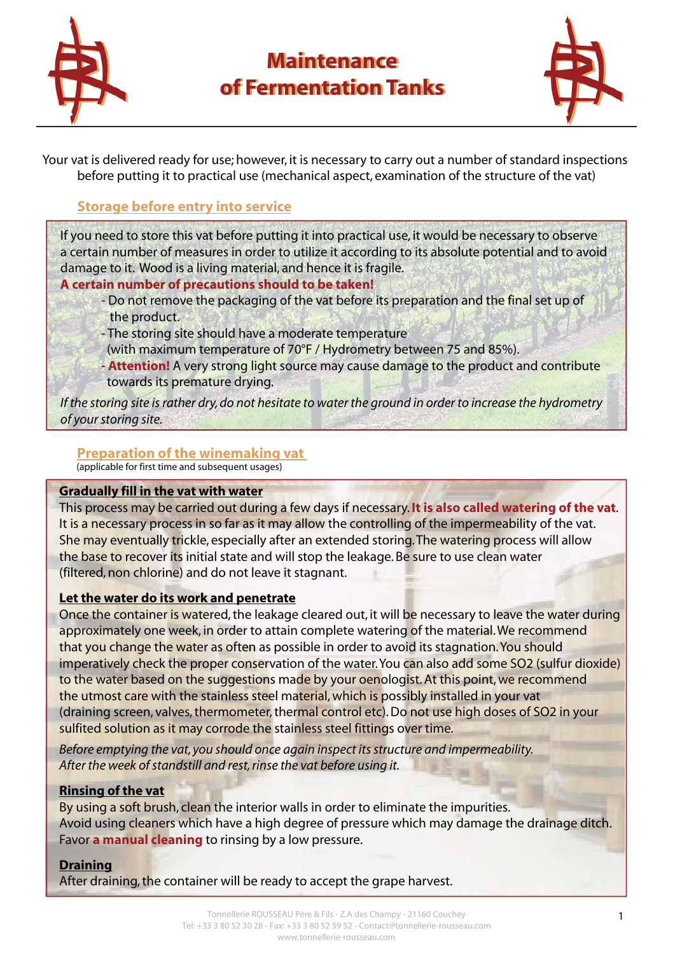

## **Maintenance Maintenance of Fermentation Tanks of Fermentation Tanks**



Your vat is delivered ready for use; however, it is necessary to carry out a number of standard inspections before putting it to practical use (mechanical aspect, examination of the structure of the vat)

## **Storage before entry into service**

If you need to store this vat before putting it into practical use, it would be necessary to observe a certain number of measures in order to utilize it according to its absolute potential and to avoid damage to it. Wood is a living material, and hence it is fragile.

## **A certain number of precautions should to be taken!**

- Do not remove the packaging of the vat before its preparation and the final set up of the product.
- The storing site should have a moderate temperature
- (with maximum temperature of 70°F / Hydrometry between 75 and 85%).
- **Attention!** A very strong light source may cause damage to the product and contribute towards its premature drying.

*If the storing site is rather dry, do not hesitate to water the ground in order to increase the hydrometry of your storing site.*

## **Preparation of the winemaking vat**

(applicable for first time and subsequent usages)

## **Gradually fill in the vat with water**

This process may be carried out during a few days if necessary. **It is also called watering of the vat**. It is a necessary process in so far as it may allow the controlling of the impermeability of the vat. She may eventually trickle, especially after an extended storing. The watering process will allow the base to recover its initial state and will stop the leakage. Be sure to use clean water (filtered, non chlorine) and do not leave it stagnant.

## **Let the water do its work and penetrate**

Once the container is watered, the leakage cleared out, it will be necessary to leave the water during approximately one week, in order to attain complete watering of the material. We recommend that you change the water as often as possible in order to avoid its stagnation. You should imperatively check the proper conservation of the water. You can also add some SO2 (sulfur dioxide) to the water based on the suggestions made by your oenologist. At this point, we recommend the utmost care with the stainless steel material, which is possibly installed in your vat (draining screen, valves, thermometer, thermal control etc). Do not use high doses of SO2 in your sulfited solution as it may corrode the stainless steel fittings over time.

*Before emptying the vat, you should once again inspect its structure and impermeability. After the week of standstill and rest, rinse the vat before using it.*

## **Rinsing of the vat**

By using a soft brush, clean the interior walls in order to eliminate the impurities. Avoid using cleaners which have a high degree of pressure which may damage the drainage ditch. Favor **a manual cleaning** to rinsing by a low pressure.

#### **Draining**

After draining, the container will be ready to accept the grape harvest.